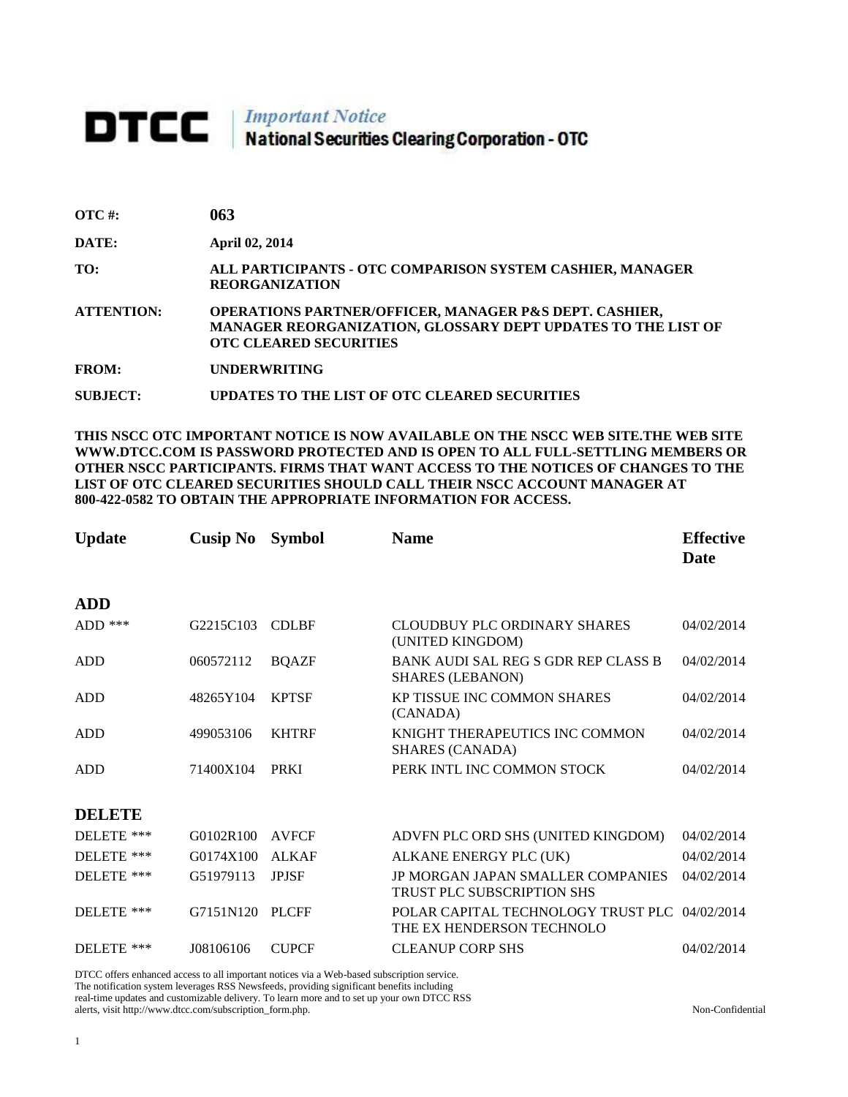# DTCC | Important Notice<br>National Securities Clearing Corporation - OTC

| 063 |
|-----|
|     |

**DATE: April 02, 2014**

**TO: ALL PARTICIPANTS - OTC COMPARISON SYSTEM CASHIER, MANAGER REORGANIZATION** 

**ATTENTION: OPERATIONS PARTNER/OFFICER, MANAGER P&S DEPT. CASHIER, MANAGER REORGANIZATION, GLOSSARY DEPT UPDATES TO THE LIST OF OTC CLEARED SECURITIES** 

**FROM: UNDERWRITING**

**SUBJECT: UPDATES TO THE LIST OF OTC CLEARED SECURITIES**

**THIS NSCC OTC IMPORTANT NOTICE IS NOW AVAILABLE ON THE NSCC WEB SITE.THE WEB SITE WWW.DTCC.COM IS PASSWORD PROTECTED AND IS OPEN TO ALL FULL-SETTLING MEMBERS OR OTHER NSCC PARTICIPANTS. FIRMS THAT WANT ACCESS TO THE NOTICES OF CHANGES TO THE LIST OF OTC CLEARED SECURITIES SHOULD CALL THEIR NSCC ACCOUNT MANAGER AT 800-422-0582 TO OBTAIN THE APPROPRIATE INFORMATION FOR ACCESS.** 

| <b>Update</b> | <b>Cusip No</b> | <b>Symbol</b> | <b>Name</b>                                                                | <b>Effective</b><br>Date |
|---------------|-----------------|---------------|----------------------------------------------------------------------------|--------------------------|
| <b>ADD</b>    |                 |               |                                                                            |                          |
| ADD $***$     | G2215C103       | <b>CDLBF</b>  | CLOUDBUY PLC ORDINARY SHARES<br>(UNITED KINGDOM)                           | 04/02/2014               |
| ADD           | 060572112       | <b>BQAZF</b>  | BANK AUDI SAL REG S GDR REP CLASS B<br><b>SHARES (LEBANON)</b>             | 04/02/2014               |
| ADD           | 48265Y104       | <b>KPTSF</b>  | <b>KP TISSUE INC COMMON SHARES</b><br>(CANADA)                             | 04/02/2014               |
| <b>ADD</b>    | 499053106       | <b>KHTRF</b>  | KNIGHT THERAPEUTICS INC COMMON<br><b>SHARES (CANADA)</b>                   | 04/02/2014               |
| <b>ADD</b>    | 71400X104       | <b>PRKI</b>   | PERK INTL INC COMMON STOCK                                                 | 04/02/2014               |
| <b>DELETE</b> |                 |               |                                                                            |                          |
| DELETE ***    | G0102R100       | <b>AVFCF</b>  | ADVFN PLC ORD SHS (UNITED KINGDOM)                                         | 04/02/2014               |
| DELETE ***    | G0174X100       | <b>ALKAF</b>  | ALKANE ENERGY PLC (UK)                                                     | 04/02/2014               |
| DELETE ***    | G51979113       | <b>JPJSF</b>  | <b>JP MORGAN JAPAN SMALLER COMPANIES</b><br>TRUST PLC SUBSCRIPTION SHS     | 04/02/2014               |
| DELETE ***    | G7151N120       | <b>PLCFF</b>  | POLAR CAPITAL TECHNOLOGY TRUST PLC 04/02/2014<br>THE EX HENDERSON TECHNOLO |                          |
| DELETE ***    | J08106106       | <b>CUPCF</b>  | <b>CLEANUP CORP SHS</b>                                                    | 04/02/2014               |

DTCC offers enhanced access to all important notices via a Web-based subscription service.

The notification system leverages RSS Newsfeeds, providing significant benefits including

real-time updates and customizable delivery. To learn more and to set up your own DTCC RSS alerts, visit http://www.dtcc.com/subscription\_form.php. Non-Confidential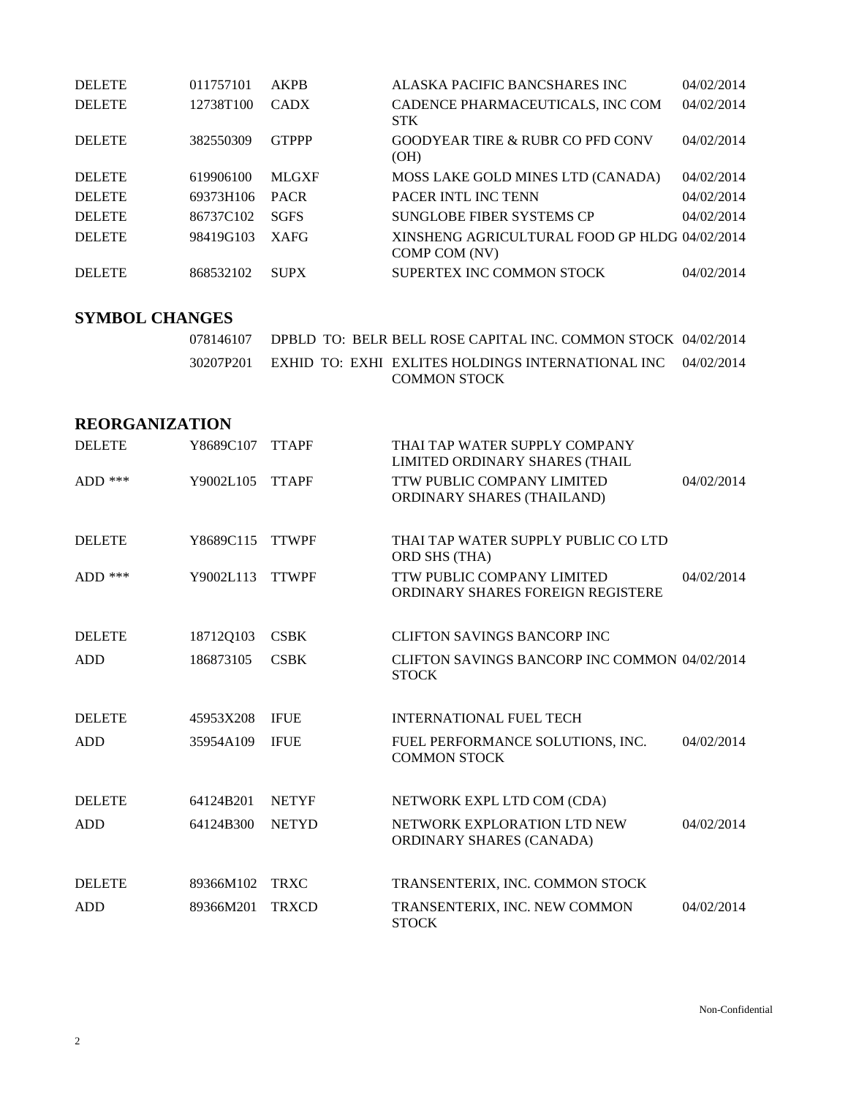| <b>DELETE</b> | 011757101 | AKPB         | ALASKA PACIFIC BANCSHARES INC                                  | 04/02/2014 |
|---------------|-----------|--------------|----------------------------------------------------------------|------------|
| <b>DELETE</b> | 12738T100 | <b>CADX</b>  | CADENCE PHARMACEUTICALS, INC COM<br><b>STK</b>                 | 04/02/2014 |
| <b>DELETE</b> | 382550309 | <b>GTPPP</b> | <b>GOODYEAR TIRE &amp; RUBR CO PFD CONV</b><br>(OH)            | 04/02/2014 |
| <b>DELETE</b> | 619906100 | <b>MLGXF</b> | MOSS LAKE GOLD MINES LTD (CANADA)                              | 04/02/2014 |
| <b>DELETE</b> | 69373H106 | <b>PACR</b>  | <b>PACER INTL INC TENN</b>                                     | 04/02/2014 |
| <b>DELETE</b> | 86737C102 | <b>SGFS</b>  | SUNGLOBE FIBER SYSTEMS CP                                      | 04/02/2014 |
| <b>DELETE</b> | 98419G103 | <b>XAFG</b>  | XINSHENG AGRICULTURAL FOOD GP HLDG 04/02/2014<br>COMP COM (NV) |            |
| <b>DELETE</b> | 868532102 | <b>SUPX</b>  | SUPERTEX INC COMMON STOCK                                      | 04/02/2014 |

## **SYMBOL CHANGES**

|  | 078146107     DPBLD  TO:  BELR BELL ROSE CAPITAL INC. COMMON STOCK  04/02/2014                  |  |
|--|-------------------------------------------------------------------------------------------------|--|
|  | 30207P201     EXHID_TO:  EXHI_EXLITES HOLDINGS INTERNATIONAL INC     04/02/2014<br>COMMON STOCK |  |

# **REORGANIZATION**

| <b>DELETE</b> | Y8689C107 | <b>TTAPF</b> | THAI TAP WATER SUPPLY COMPANY<br>LIMITED ORDINARY SHARES (THAIL |            |
|---------------|-----------|--------------|-----------------------------------------------------------------|------------|
| ADD ***       | Y9002L105 | <b>TTAPF</b> | TTW PUBLIC COMPANY LIMITED<br>ORDINARY SHARES (THAILAND)        | 04/02/2014 |
| <b>DELETE</b> | Y8689C115 | <b>TTWPF</b> | THAI TAP WATER SUPPLY PUBLIC CO LTD<br><b>ORD SHS (THA)</b>     |            |
| ADD $***$     | Y9002L113 | <b>TTWPF</b> | TTW PUBLIC COMPANY LIMITED<br>ORDINARY SHARES FOREIGN REGISTERE | 04/02/2014 |
| <b>DELETE</b> | 18712Q103 | <b>CSBK</b>  | <b>CLIFTON SAVINGS BANCORP INC</b>                              |            |
| <b>ADD</b>    | 186873105 | <b>CSBK</b>  | CLIFTON SAVINGS BANCORP INC COMMON 04/02/2014<br><b>STOCK</b>   |            |
| <b>DELETE</b> | 45953X208 | <b>IFUE</b>  | <b>INTERNATIONAL FUEL TECH</b>                                  |            |
| <b>ADD</b>    | 35954A109 | <b>IFUE</b>  | FUEL PERFORMANCE SOLUTIONS, INC.<br><b>COMMON STOCK</b>         | 04/02/2014 |
| <b>DELETE</b> | 64124B201 | <b>NETYF</b> | NETWORK EXPL LTD COM (CDA)                                      |            |
| <b>ADD</b>    | 64124B300 | <b>NETYD</b> | NETWORK EXPLORATION LTD NEW<br>ORDINARY SHARES (CANADA)         | 04/02/2014 |
| <b>DELETE</b> | 89366M102 | <b>TRXC</b>  | TRANSENTERIX, INC. COMMON STOCK                                 |            |
| <b>ADD</b>    | 89366M201 | <b>TRXCD</b> | TRANSENTERIX, INC. NEW COMMON<br><b>STOCK</b>                   | 04/02/2014 |